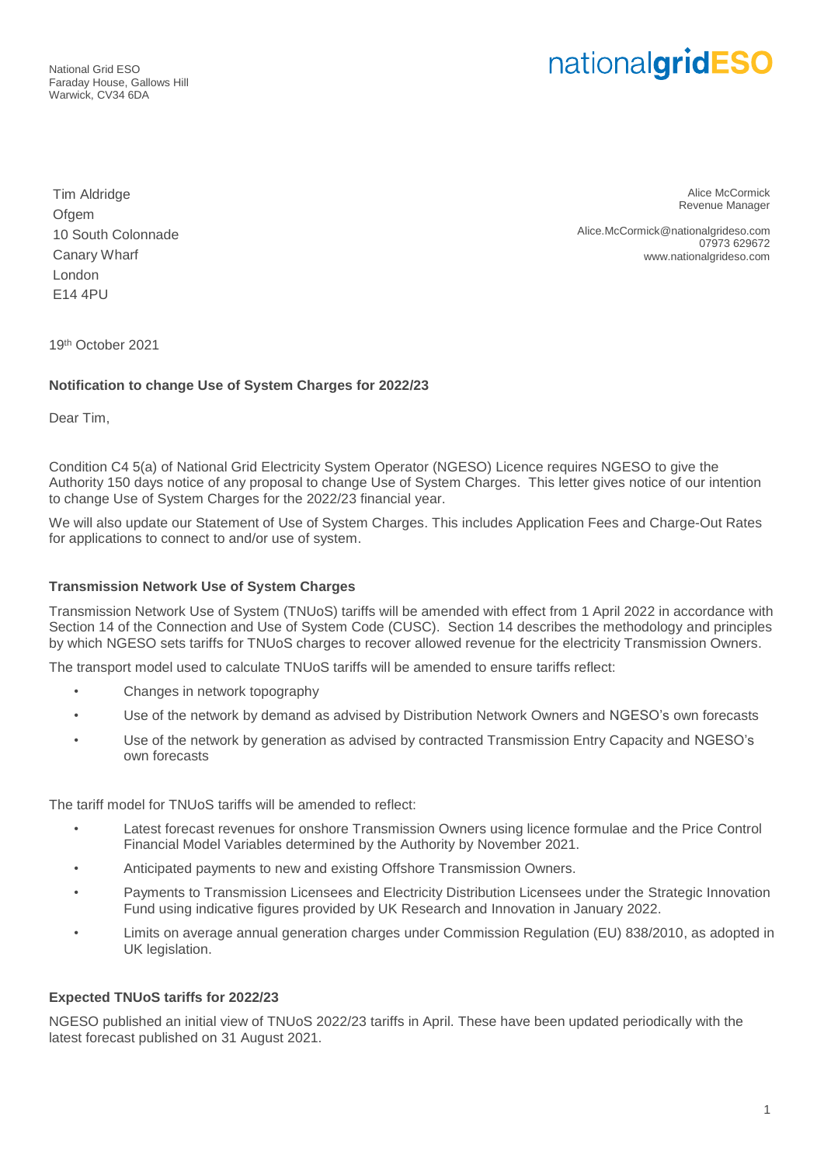National Grid ESO Faraday House, Gallows Hill Warwick, CV34 6DA

# nationalgridESO

Tim Aldridge Ofgem 10 South Colonnade Canary Wharf London E14 4PU

Alice McCormick Revenue Manager

Alice.McCormick@nationalgrideso.com 07973 629672 www.nationalgrideso.com

19 th October 2021

### **Notification to change Use of System Charges for 2022/23**

Dear Tim,

Condition C4 5(a) of National Grid Electricity System Operator (NGESO) Licence requires NGESO to give the Authority 150 days notice of any proposal to change Use of System Charges. This letter gives notice of our intention to change Use of System Charges for the 2022/23 financial year.

We will also update our Statement of Use of System Charges. This includes Application Fees and Charge-Out Rates for applications to connect to and/or use of system.

#### **Transmission Network Use of System Charges**

Transmission Network Use of System (TNUoS) tariffs will be amended with effect from 1 April 2022 in accordance with Section 14 of the Connection and Use of System Code (CUSC). Section 14 describes the methodology and principles by which NGESO sets tariffs for TNUoS charges to recover allowed revenue for the electricity Transmission Owners.

The transport model used to calculate TNUoS tariffs will be amended to ensure tariffs reflect:

- Changes in network topography
- Use of the network by demand as advised by Distribution Network Owners and NGESO's own forecasts
- Use of the network by generation as advised by contracted Transmission Entry Capacity and NGESO's own forecasts

The tariff model for TNUoS tariffs will be amended to reflect:

- Latest forecast revenues for onshore Transmission Owners using licence formulae and the Price Control Financial Model Variables determined by the Authority by November 2021.
- Anticipated payments to new and existing Offshore Transmission Owners.
- Payments to Transmission Licensees and Electricity Distribution Licensees under the Strategic Innovation Fund using indicative figures provided by UK Research and Innovation in January 2022.
- Limits on average annual generation charges under Commission Regulation (EU) 838/2010, as adopted in UK legislation.

#### **Expected TNUoS tariffs for 2022/23**

NGESO published an initial view of TNUoS 2022/23 tariffs in April. These have been updated periodically with the latest forecast published on 31 August 2021.